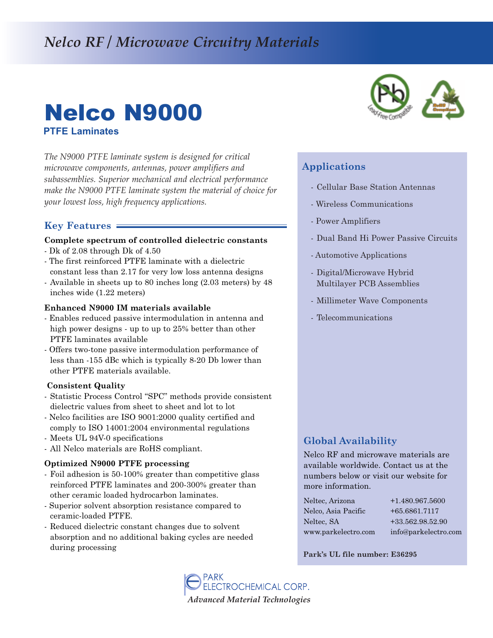# *Nelco RF / Microwave Circuitry Materials*

# Nelco N9000 **PTFE Laminates**

*The N9000 PTFE laminate system is designed for critical microwave components, antennas, power amplifiers and subassemblies. Superior mechanical and electrical performance make the N9000 PTFE laminate system the material of choice for your lowest loss, high frequency applications.* 

### **Key Features**

#### **Complete spectrum of controlled dielectric constants**

- Dk of 2.08 through Dk of 4.50
- The first reinforced PTFE laminate with a dielectric constant less than 2.17 for very low loss antenna designs
- Available in sheets up to 80 inches long (2.03 meters) by 48 inches wide (1.22 meters)

#### **Enhanced N9000 IM materials available**

- Enables reduced passive intermodulation in antenna and high power designs - up to up to 25% better than other PTFE laminates available
- Offers two-tone passive intermodulation performance of less than 155 dBc which is typically 820 Db lower than other PTFE materials available.

#### **Consistent Quality**

- Statistic Process Control "SPC" methods provide consistent dielectric values from sheet to sheet and lot to lot
- Nelco facilities are ISO 9001:2000 quality certified and comply to ISO 14001:2004 environmental regulations
- Meets UL 94V-0 specifications
- All Nelco materials are RoHS compliant.

#### **Optimized N9000 PTFE processing**

- Foil adhesion is 50-100% greater than competitive glass reinforced PTFE laminates and 200-300% greater than other ceramic loaded hydrocarbon laminates.
- Superior solvent absorption resistance compared to ceramic-loaded PTFE.
- Reduced dielectric constant changes due to solvent absorption and no additional baking cycles are needed during processing



## **Applications**

- Cellular Base Station Antennas
- Wireless Communications
- Power Amplifiers
- Dual Band Hi Power Passive Circuits
- Automotive Applications
- Digital/Microwave Hybrid Multilayer PCB Assemblies
- Millimeter Wave Components
- Telecommunications

## **Global Availability**

Nelco RF and microwave materials are available worldwide. Contact us at the numbers below or visit our website for more information.

| Neltec, Arizona     | $+1.480.967.5600$    |
|---------------------|----------------------|
| Nelco, Asia Pacific | $+65.6861.7117$      |
| Neltec, SA          | +33.562.98.52.90     |
| www.parkelectro.com | info@parkelectro.com |

**Park's UL file number: E36295**

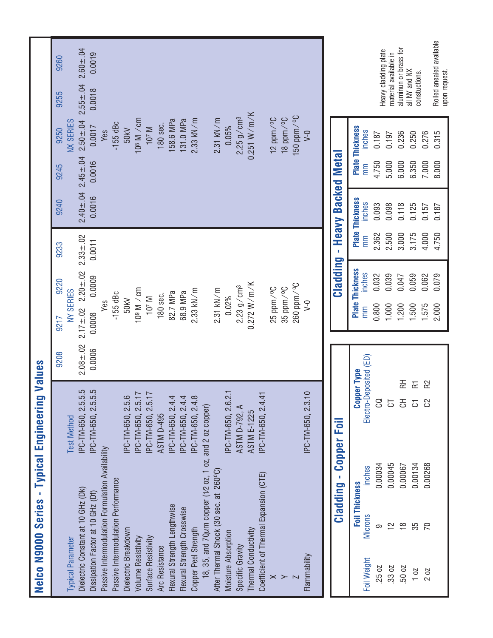| Nelco N9000 Series - Typical Engineerin          |                       | 5                                         | Values         |                          |                        |                |                        |                |                             |                |                          |
|--------------------------------------------------|-----------------------|-------------------------------------------|----------------|--------------------------|------------------------|----------------|------------------------|----------------|-----------------------------|----------------|--------------------------|
| <b>Typical Parameter</b>                         |                       | <b>Test Method</b>                        | 9208           | <b>NY SERIES</b><br>9217 | 9220                   | 9233           | 9240                   | 9245           | <b>NX SERIES</b><br>9250    | 9255           | 9260                     |
| Dielectric Constant at 10 GHz (Dk)               |                       | 5.5.<br>IPC-TM-650, 2.5                   | $2.08 \pm .02$ | $2.17 \pm .02$           | $2.20 + 0.02$          | $2.33 \pm .02$ | $2.40 \pm .04$         | $2.45 \pm .04$ | $2.50 \pm .04$              | $2.55 \pm .04$ | $2.60 + .04$             |
| Dissipation Factor at 10 GHz (Df)                |                       | IPC-TM-650, 2.5.5.5                       | 0.0006         | 0.0008                   | 0.0009                 | 0.0011         | 0.0016                 | 0.0016         | 0.0017                      | 0.0018         | 0.0019                   |
| Passive Intermodulation Formulation Availability |                       |                                           |                | Yes                      |                        |                |                        |                | Yes                         |                |                          |
| Passive Intermodulation Performance              |                       |                                           |                | $-155$ dBc               |                        |                |                        |                | $-155$ dBc                  |                |                          |
| Dielectric Breakdown                             |                       | IPC-TM-650, 2.5.6                         |                | 50kV                     |                        |                |                        |                | 50kV                        |                |                          |
| Volume Resistivity                               |                       | IPC-TM-650, 2.5.17<br>IPC-TM-650, 2.5.17  |                | 109 M / cm               |                        |                |                        |                | 108 M / cm                  |                |                          |
| Surface Resistivity                              |                       |                                           |                | 107 M                    |                        |                |                        |                | $107$ M                     |                |                          |
| Arc Resistance                                   |                       | <b>ASTM D-495</b>                         |                | 180 sec.                 |                        |                |                        |                | 180 sec.                    |                |                          |
| Flexural Strength Lengthwise                     |                       | 4<br>IPC-TM-650, 2.4.                     |                | 82.7 MPa                 |                        |                |                        |                | 158.6 MPa                   |                |                          |
| Flexural Strength Crosswise                      |                       | $\overline{4}$<br>IPC-TM-650, 2.4.        |                | 68.9 MPa                 |                        |                |                        |                | 131.0 MPa                   |                |                          |
| Copper Peel Strength                             |                       | IPC-TM-650, 2.4.8                         |                | $2.33$ kN/m              |                        |                |                        |                | $2.33$ kN/m                 |                |                          |
| 18, 35, and 70um copper (1/2 oz, 1 oz,           |                       | and 2 oz copper)                          |                |                          |                        |                |                        |                |                             |                |                          |
| After Thermal Shock (30 sec. at 260°C)           |                       |                                           |                | $2.31$ kN/m              |                        |                |                        |                | $2.31$ kN/m                 |                |                          |
| Moisture Absorption                              |                       | IPC-TM-650, 2.6.2.1                       |                | 0.02%                    |                        |                |                        |                | 0.05%                       |                |                          |
| Specific Gravity                                 |                       | ASTM D-792, A                             |                | $2.23$ g/cm <sup>3</sup> |                        |                |                        |                | $2.25$ g/cm <sup>3</sup>    |                |                          |
| Thermal Conductivity                             |                       | <b>ASTM E-1225</b>                        |                | 0.272 W/m/K              |                        |                |                        |                | 0.251 W/m/K                 |                |                          |
| Coefficient of Thermal Expansion (CTE)           |                       | IPC-TM-650, 2.4.41                        |                |                          |                        |                |                        |                |                             |                |                          |
| $\times$                                         |                       |                                           |                | 25 ppm/°C                |                        |                |                        |                | $12$ ppm $\frac{10}{3}$     |                |                          |
| ≻                                                |                       |                                           |                | 35 ppm/°C                |                        |                |                        |                | $18$ ppm $/$ <sup>o</sup> C |                |                          |
|                                                  |                       |                                           |                | 260 ppm/°C               |                        |                |                        |                | $150$ ppm $\frac{0}{2}$ C   |                |                          |
| Flammability                                     |                       | IPC-TM-650, 2.3.10                        |                | $\geq$                   |                        |                |                        |                | $V-0$                       |                |                          |
|                                                  |                       |                                           |                |                          |                        |                |                        |                |                             |                |                          |
|                                                  | Cladding              | Foil<br>Copper                            |                |                          | Cladding               | f,             | <b>Heavy Backed</b>    | <b>Metal</b>   |                             |                |                          |
|                                                  | <b>Foil Thickness</b> | <b>Copper Type</b>                        |                |                          | <b>Plate Thickness</b> |                | <b>Plate Thickness</b> |                | <b>Plate Thickness</b>      |                |                          |
| <b>Microns</b><br>Foil Weight                    | inches                | Electro-Deposited (ED)                    |                | E                        | inches                 | mm             | inches                 | mm             | inches                      |                |                          |
| တ<br>.25 02                                      | 0.00034               | g                                         |                | 0.800                    | 0.032                  | 2.362          | 0.093                  | 4.750          | 0.187                       |                | Heavy cladding plate     |
| $\frac{2}{1}$<br>.33 02                          | 0.00045               | 5                                         |                | 1.000                    | 0.039                  | 2.500          | 0.098                  | 5.000          | 0.197                       |                | material available in    |
| $\frac{8}{1}$<br>50 02                           | 0.00067               | 돉<br>공                                    |                | 1.200                    | 0.047                  | 3.000          | 0.118                  | 6.000          | 0.236                       | all NY and NX  | aluminun or brass for    |
| 35<br>102                                        | 0.00134               | $\overline{\mathbf{r}}$<br>$\overline{c}$ |                | 1.500                    | 0.059                  | 3.175          | 0.125                  | 6.350          | 0.250                       | constuctions.  |                          |
| $\overline{C}$<br>202                            | 0.00268               | R <sub>2</sub><br>පි                      |                | 1.575                    | 0.062                  | 4.000          | 0.157                  | 7.000          | 0.276                       |                |                          |
|                                                  |                       |                                           |                | 2.000                    | 0.079                  | 4.750          | 0.187                  | 8.000          | 0.315                       | upon request.  | Rolled anealed available |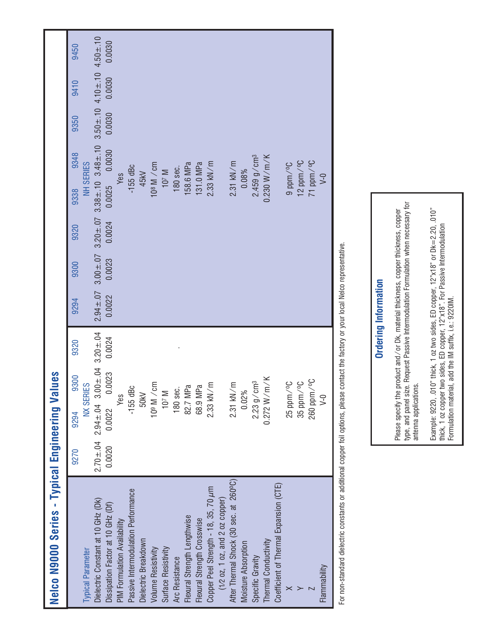| Nelco N9000 Series - Typical Engineering Val                                |                |                                              | san    |        |        |        |        |                                                                                                                         |                           |        |        |        |
|-----------------------------------------------------------------------------|----------------|----------------------------------------------|--------|--------|--------|--------|--------|-------------------------------------------------------------------------------------------------------------------------|---------------------------|--------|--------|--------|
|                                                                             | 9270           | 9294                                         | 9300   | 9320   | 9294   | 9300   | 9320   | 9338                                                                                                                    | 9348                      | 9350   | 9410   | 9450   |
| <b>Typical Parameter</b>                                                    |                | <b>NX SERIES</b>                             |        |        |        |        |        | <b>NH SERIES</b>                                                                                                        |                           |        |        |        |
| Dielectric Constant at 10 GHz (Dk)                                          | $2.70 \pm .04$ | $2.94 \pm .04$ 3.00 $\pm .04$ 3.20 $\pm .04$ |        |        |        |        |        | $2.94 \pm .07$ $3.00 \pm .07$ $3.20 \pm .07$ $3.38 \pm .10$ $3.48 \pm .10$ $3.50 \pm .10$ $4.10 \pm .10$ $4.50 \pm .10$ |                           |        |        |        |
| Dissipation Factor at 10 GHz (Df)                                           | 0.0020         | 0.0022                                       | 0.0023 | 0.0024 | 0.0022 | 0.0023 | 0.0024 | 0.0025 0.0030                                                                                                           |                           | 0.0030 | 0.0030 | 0.0030 |
| PIM Formulation Availability                                                |                | Yes                                          |        |        |        |        |        | Yes                                                                                                                     |                           |        |        |        |
| Passive Intermodulation Performance                                         |                | $-155$ dBc                                   |        |        |        |        |        | $-155$ dBc                                                                                                              |                           |        |        |        |
| Dielectric Breakdown                                                        |                | 50kV                                         |        |        |        |        |        | 45kV                                                                                                                    |                           |        |        |        |
| Volume Resistivity                                                          |                | 109 M / cm                                   |        |        |        |        |        | 108 M / cm                                                                                                              |                           |        |        |        |
| Surface Resistivity                                                         |                | $107$ M                                      |        |        |        |        |        | 107 M                                                                                                                   |                           |        |        |        |
| Arc Resistance                                                              |                | 180 sec.                                     |        |        |        |        |        | 180 sec.                                                                                                                |                           |        |        |        |
| Flexural Strength Lengthwise                                                |                | 82.7 MPa                                     |        |        |        |        |        | 158.6 MPa                                                                                                               |                           |        |        |        |
| Flexural Strength Crosswise                                                 |                | 68.9 MPa                                     |        |        |        |        |        | 131.0 MPa                                                                                                               |                           |        |        |        |
| Copper Peel Strength - 18, 35, 70 um                                        |                | $2.33$ kN/m                                  |        |        |        |        |        | $2.33$ kN/m                                                                                                             |                           |        |        |        |
| $(1/2 \text{ oz}, 1 \text{ oz}, \text{ and } 2 \text{ oz } \text{ copper})$ |                |                                              |        |        |        |        |        |                                                                                                                         |                           |        |        |        |
| After Thermal Shock (30 sec. at 260°C)                                      |                | $2.31$ kN/m                                  |        |        |        |        |        | $2.31$ kN/m                                                                                                             |                           |        |        |        |
| Moisture Absorption                                                         |                | 0.02%                                        |        |        |        |        |        | 0.08%                                                                                                                   |                           |        |        |        |
| Specific Gravity                                                            |                | $2.23$ g/cm <sup>3</sup>                     |        |        |        |        |        |                                                                                                                         | $2.459$ g/cm <sup>3</sup> |        |        |        |
| Thermal Conductivity                                                        |                | $0.272$ W/m/K                                |        |        |        |        |        | 0.230 W/m/K                                                                                                             |                           |        |        |        |
| Coefficient of Thermal Expansion (CTE)                                      |                |                                              |        |        |        |        |        |                                                                                                                         |                           |        |        |        |
| $\pmb{\times}$                                                              |                |                                              |        |        |        |        |        | $30\degree$ mud $6$                                                                                                     |                           |        |        |        |
|                                                                             |                | $25$ ppm/ $0$ C<br>35 ppm/ $0$ C             |        |        |        |        |        | $12$ ppm $\sqrt{^0C}$                                                                                                   |                           |        |        |        |
|                                                                             |                | $260$ ppm $\frac{100}{100}$                  |        |        |        |        |        | 71 ppm/ <sup>o</sup> C                                                                                                  |                           |        |        |        |
| Flammability                                                                |                | $\sqrt{2}$                                   |        |        |        |        |        | $V-0$                                                                                                                   |                           |        |        |        |
|                                                                             |                |                                              |        |        |        |        |        |                                                                                                                         |                           |        |        |        |

For non-standard dielectric constants or additional copper foil options, please contact the factory or your local Nelco representative. For nonstandard dielectric constants or additional copper foil options, please contact the factory or your local Nelco representative.

# **Ordering Information Ordering Information**

Please specify the product and ⁄ or Dk, material thickness, copper thickness, copper<br>type, and panel size. Request Passive Intermodulation Formulation when necessary for<br>antenna applications. type, and panel size. Request Passive Intermodulation Formulation when necessary for Please specify the product and / or Dk, material thickness, copper thickness, copper antenna applications.

Example: 9220, .010" thick, 1 oz two sides, ED copper, 12"x18" or Dk=2.20, .010"<br>thick, 1 oz copper two sides, ED copper, 12"x18". For Passive Intermodulation<br>Formulation material, add the IM suffix, i.e.: 9220M. Example: 9220, .010" thick, 1 oz two sides, ED copper, 12"x18" or Dk=2.20, .010" thick, 1 oz copper two sides, ED copper, 12"x18". For Passive Intermodulation Formulation material, add the IM suffix, i.e.: 9220IM.